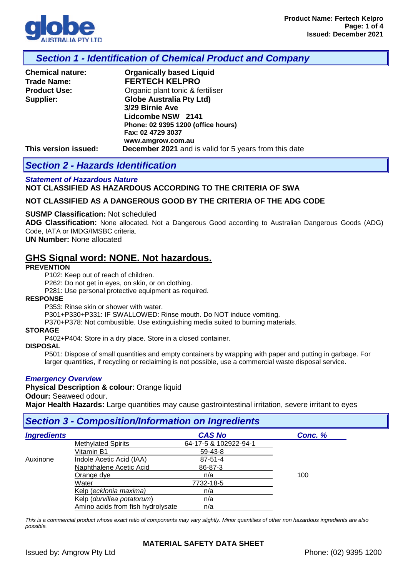

### *Section 1 - Identification of Chemical Product and Company*

| <b>Chemical nature:</b> | <b>Organically based Liquid</b>                              |
|-------------------------|--------------------------------------------------------------|
| <b>Trade Name:</b>      | <b>FERTECH KELPRO</b>                                        |
| <b>Product Use:</b>     | Organic plant tonic & fertiliser                             |
| Supplier:               | <b>Globe Australia Pty Ltd)</b>                              |
|                         | 3/29 Birnie Ave                                              |
|                         | Lidcombe NSW 2141                                            |
|                         | Phone: 02 9395 1200 (office hours)                           |
|                         | Fax: 02 4729 3037                                            |
|                         | www.amgrow.com.au                                            |
| This version issued:    | <b>December 2021</b> and is valid for 5 years from this date |

# *Section 2 - Hazards Identification*

### *Statement of Hazardous Nature*  **NOT CLASSIFIED AS HAZARDOUS ACCORDING TO THE CRITERIA OF SWA**

### **NOT CLASSIFIED AS A DANGEROUS GOOD BY THE CRITERIA OF THE ADG CODE**

#### **SUSMP Classification:** Not scheduled

**ADG Classification:** None allocated. Not a Dangerous Good according to Australian Dangerous Goods (ADG) Code, IATA or IMDG/IMSBC criteria.

#### **UN Number:** None allocated

### **GHS Signal word: NONE. Not hazardous.**

#### **PREVENTION**

P102: Keep out of reach of children.

P262: Do not get in eyes, on skin, or on clothing.

P281: Use personal protective equipment as required.

#### **RESPONSE**

P353: Rinse skin or shower with water.

P301+P330+P331: IF SWALLOWED: Rinse mouth. Do NOT induce vomiting.

P370+P378: Not combustible. Use extinguishing media suited to burning materials.

#### **STORAGE**

P402+P404: Store in a dry place. Store in a closed container.

#### **DISPOSAL**

P501: Dispose of small quantities and empty containers by wrapping with paper and putting in garbage. For larger quantities, if recycling or reclaiming is not possible, use a commercial waste disposal service.

#### *Emergency Overview*

**Physical Description & colour**: Orange liquid

#### **Odour:** Seaweed odour.

**Major Health Hazards:** Large quantities may cause gastrointestinal irritation, severe irritant to eyes

### *Section 3 - Composition/Information on Ingredients*

| <b>Ingredients</b> |                                   | <b>CAS No</b>         | Conc. % |
|--------------------|-----------------------------------|-----------------------|---------|
|                    | <b>Methylated Spirits</b>         | 64-17-5 & 102922-94-1 |         |
|                    | Vitamin B1                        | 59-43-8               |         |
| Auxinone           | Indole Acetic Acid (IAA)          | $87 - 51 - 4$         |         |
|                    | Naphthalene Acetic Acid           | 86-87-3               |         |
|                    | Orange dve                        | n/a                   | 100     |
|                    | Water                             | 7732-18-5             |         |
|                    | Kelp (ecklonia maxima)            | n/a                   |         |
|                    | Kelp (durvillea potatorum)        | n/a                   |         |
|                    | Amino acids from fish hydrolysate | n/a                   |         |

*This is a commercial product whose exact ratio of components may vary slightly. Minor quantities of other non hazardous ingredients are also possible.*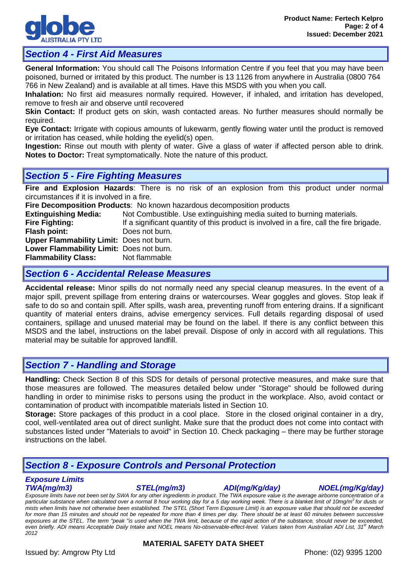

# *Section 4 - First Aid Measures*

**General Information:** You should call The Poisons Information Centre if you feel that you may have been poisoned, burned or irritated by this product. The number is 13 1126 from anywhere in Australia (0800 764 766 in New Zealand) and is available at all times. Have this MSDS with you when you call.

**Inhalation:** No first aid measures normally required. However, if inhaled, and irritation has developed, remove to fresh air and observe until recovered

**Skin Contact:** If product gets on skin, wash contacted areas. No further measures should normally be required.

**Eye Contact:** Irrigate with copious amounts of lukewarm, gently flowing water until the product is removed or irritation has ceased, while holding the eyelid(s) open.

**Ingestion:** Rinse out mouth with plenty of water. Give a glass of water if affected person able to drink. **Notes to Doctor:** Treat symptomatically. Note the nature of this product.

# *Section 5 - Fire Fighting Measures*

**Fire and Explosion Hazards**: There is no risk of an explosion from this product under normal circumstances if it is involved in a fire.

**Fire Decomposition Products:** No known hazardous decomposition products **Extinguishing Media:** Not Combustible. Use extinguishing media suited to **Extinguishing Media:** Not Combustible. Use extinguishing media suited to burning materials.<br>**Fire Fighting:** If a significant quantity of this product is involved in a fire, call the fire b **Fire Fighting:** If a significant quantity of this product is involved in a fire, call the fire brigade.<br> **Flash point:** Does not burn. Does not burn. **Upper Flammability Limit:** Does not burn. **Lower Flammability Limit: Does not burn.<br>
<b>Flammability Class:** Not flammable **Flammability Class:** 

# *Section 6 - Accidental Release Measures*

**Accidental release:** Minor spills do not normally need any special cleanup measures. In the event of a major spill, prevent spillage from entering drains or watercourses. Wear goggles and gloves. Stop leak if safe to do so and contain spill. After spills, wash area, preventing runoff from entering drains. If a significant quantity of material enters drains, advise emergency services. Full details regarding disposal of used containers, spillage and unused material may be found on the label. If there is any conflict between this MSDS and the label, instructions on the label prevail. Dispose of only in accord with all regulations. This material may be suitable for approved landfill.

### *Section 7 - Handling and Storage*

**Handling:** Check Section 8 of this SDS for details of personal protective measures, and make sure that those measures are followed. The measures detailed below under "Storage" should be followed during handling in order to minimise risks to persons using the product in the workplace. Also, avoid contact or contamination of product with incompatible materials listed in Section 10.

**Storage:** Store packages of this product in a cool place. Store in the closed original container in a dry, cool, well-ventilated area out of direct sunlight. Make sure that the product does not come into contact with substances listed under "Materials to avoid" in Section 10. Check packaging – there may be further storage instructions on the label.

# *Section 8 - Exposure Controls and Personal Protection*

# *Exposure Limits*

*TWA(mg/m3) STEL(mg/m3) ADI(mg/Kg/day) NOEL(mg/Kg/day)*

*Exposure limits have not been set by SWA for any other ingredients in product. The TWA exposure value is the average airborne concentration of a particular substance when calculated over a normal 8 hour working day for a 5 day working week. There is a blanket limit of 10mg/m3 for dusts or mists when limits have not otherwise been established. The STEL (Short Term Exposure Limit) is an exposure value that should not be exceeded*  for more than 15 minutes and should not be repeated for more than 4 times per day. There should be at least 60 minutes between successive *exposures at the STEL. The term "peak "is used when the TWA limit, because of the rapid action of the substance, should never be exceeded, even briefly. ADI means Acceptable Daily Intake and NOEL means No-observable-effect-level. Values taken from Australian ADI List, 31st March 2012*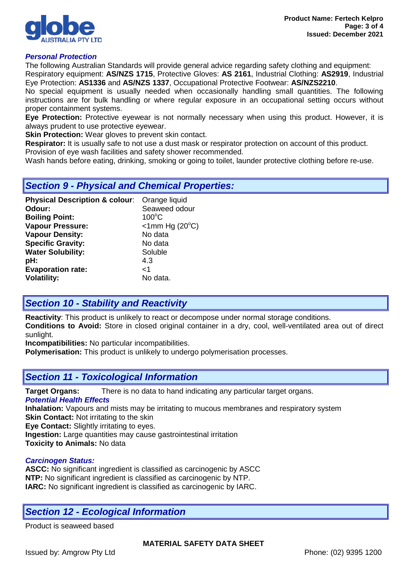

### *Personal Protection*

The following Australian Standards will provide general advice regarding safety clothing and equipment: Respiratory equipment: **AS/NZS 1715**, Protective Gloves: **AS 2161**, Industrial Clothing: **AS2919**, Industrial Eye Protection: **AS1336** and **AS/NZS 1337**, Occupational Protective Footwear: **AS/NZS2210**.

No special equipment is usually needed when occasionally handling small quantities. The following instructions are for bulk handling or where regular exposure in an occupational setting occurs without proper containment systems.

**Eye Protection:** Protective eyewear is not normally necessary when using this product. However, it is always prudent to use protective eyewear.

**Skin Protection:** Wear gloves to prevent skin contact.

**Respirator:** It is usually safe to not use a dust mask or respirator protection on account of this product. Provision of eye wash facilities and safety shower recommended.

Wash hands before eating, drinking, smoking or going to toilet, launder protective clothing before re-use.

### *Section 9 - Physical and Chemical Properties:*

| <b>Physical Description &amp; colour:</b> | Orange liquid                |
|-------------------------------------------|------------------------------|
| Odour:                                    | Seaweed odour                |
| <b>Boiling Point:</b>                     | $100^{\circ}$ C              |
| <b>Vapour Pressure:</b>                   | $<$ 1mm Hg (20 $^{\circ}$ C) |
| <b>Vapour Density:</b>                    | No data                      |
| <b>Specific Gravity:</b>                  | No data                      |
| <b>Water Solubility:</b>                  | Soluble                      |
| pH:                                       | 4.3                          |
| <b>Evaporation rate:</b>                  | ا>                           |
| <b>Volatility:</b>                        | No data.                     |

# *Section 10 - Stability and Reactivity*

**Reactivity**: This product is unlikely to react or decompose under normal storage conditions.

**Conditions to Avoid:** Store in closed original container in a dry, cool, well-ventilated area out of direct sunlight.

**Incompatibilities:** No particular incompatibilities.

**Polymerisation:** This product is unlikely to undergo polymerisation processes.

### *Section 11 - Toxicological Information*

**Target Organs:** There is no data to hand indicating any particular target organs.

*Potential Health Effects*

**Inhalation:** Vapours and mists may be irritating to mucous membranes and respiratory system **Skin Contact:** Not irritating to the skin

**Eye Contact:** Slightly irritating to eyes.

**Ingestion:** Large quantities may cause gastrointestinal irritation **Toxicity to Animals:** No data

### *Carcinogen Status:*

**ASCC:** No significant ingredient is classified as carcinogenic by ASCC **NTP:** No significant ingredient is classified as carcinogenic by NTP. **IARC:** No significant ingredient is classified as carcinogenic by IARC.

# *Section 12 - Ecological Information*

Product is seaweed based